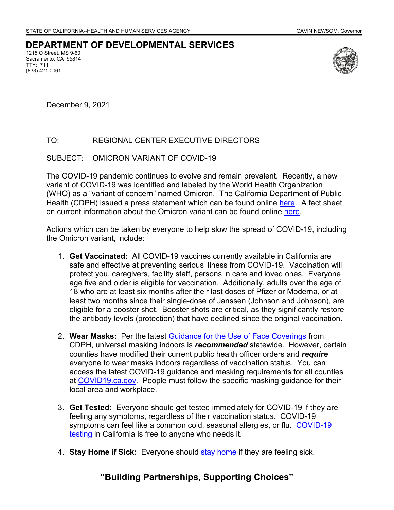## **DEPARTMENT OF DEVELOPMENTAL SERVICES**

1215 O Street, MS 9-60 Sacramento, CA 95814 TTY: 711 (833) 421-0061



December 9, 2021

## TO: REGIONAL CENTER EXECUTIVE DIRECTORS

## SUBJECT: OMICRON VARIANT OF COVID-19

The COVID-19 pandemic continues to evolve and remain prevalent. Recently, a new variant of COVID-19 was identified and labeled by the World Health Organization (WHO) as a "variant of concern" named Omicron. The California Department of Public Health (CDPH) issued a press statement which can be found online [here.](https://urldefense.com/v3/__https:/ccld.us20.list-manage.com/track/click?u=7590f8c3525ec889dfae162a3&id=2b8e07b278&e=a455381060__;!!Jv0_iA8!4gzPKauKEGapaPdfiyWEntP-wXRpZZHVRndUU_8-Ss5fnsR589Xiq9FnoVnW2Y9jiB7sBQ$) A fact sheet on current information about the Omicron variant can be found online [here.](https://urldefense.com/v3/__https:/ccld.us20.list-manage.com/track/click?u=7590f8c3525ec889dfae162a3&id=e91b097a00&e=a455381060__;!!Jv0_iA8!4gzPKauKEGapaPdfiyWEntP-wXRpZZHVRndUU_8-Ss5fnsR589Xiq9FnoVnW2Y8UmiuNsQ$)

Actions which can be taken by everyone to help slow the spread of COVID-19, including the Omicron variant, include:

- 1. **Get Vaccinated:** All COVID-19 vaccines currently available in California are safe and effective at preventing serious illness from COVID-19. Vaccination will protect you, caregivers, facility staff, persons in care and loved ones. Everyone age five and older is eligible for vaccination. Additionally, adults over the age of 18 who are at least six months after their last doses of Pfizer or Moderna, or at least two months since their single-dose of Janssen (Johnson and Johnson), are eligible for a booster shot. Booster shots are critical, as they significantly restore the antibody levels (protection) that have declined since the original vaccination.
- 2. **Wear Masks:** Per the latest [Guidance for the Use of Face Coverings](https://urldefense.com/v3/__https:/ccld.us20.list-manage.com/track/click?u=7590f8c3525ec889dfae162a3&id=97a19cd98e&e=a455381060__;!!Jv0_iA8!4gzPKauKEGapaPdfiyWEntP-wXRpZZHVRndUU_8-Ss5fnsR589Xiq9FnoVnW2Y82inwHfA$) from CDPH, universal masking indoors is *recommended* statewide. However, certain counties have modified their current public health officer orders and *require*  everyone to wear masks indoors regardless of vaccination status. You can access the latest COVID-19 guidance and masking requirements for all counties at [COVID19.ca.gov.](https://urldefense.com/v3/__https:/ccld.us20.list-manage.com/track/click?u=7590f8c3525ec889dfae162a3&id=d4fd6cd4c6&e=a455381060__;!!Jv0_iA8!4gzPKauKEGapaPdfiyWEntP-wXRpZZHVRndUU_8-Ss5fnsR589Xiq9FnoVnW2Y8D5qc_Xw$) People must follow the specific masking guidance for their local area and workplace.
- 3. **Get Tested:** Everyone should get tested immediately for COVID-19 if they are feeling any symptoms, regardless of their vaccination status. COVID-19 symptoms can feel like a common cold, seasonal allergies, or flu. COVID-19 [testing](https://urldefense.com/v3/__https:/ccld.us20.list-manage.com/track/click?u=7590f8c3525ec889dfae162a3&id=8cf797f82b&e=a455381060__;!!Jv0_iA8!4gzPKauKEGapaPdfiyWEntP-wXRpZZHVRndUU_8-Ss5fnsR589Xiq9FnoVnW2Y8zjfHomA$) in California is free to anyone who needs it.
- 4. **Stay Home if Sick:** Everyone should [stay home](https://urldefense.com/v3/__https:/ccld.us20.list-manage.com/track/click?u=7590f8c3525ec889dfae162a3&id=47ef1d41fb&e=a455381060__;!!Jv0_iA8!4gzPKauKEGapaPdfiyWEntP-wXRpZZHVRndUU_8-Ss5fnsR589Xiq9FnoVnW2Y9AD3FOfA$) if they are feeling sick.

## **"Building Partnerships, Supporting Choices"**